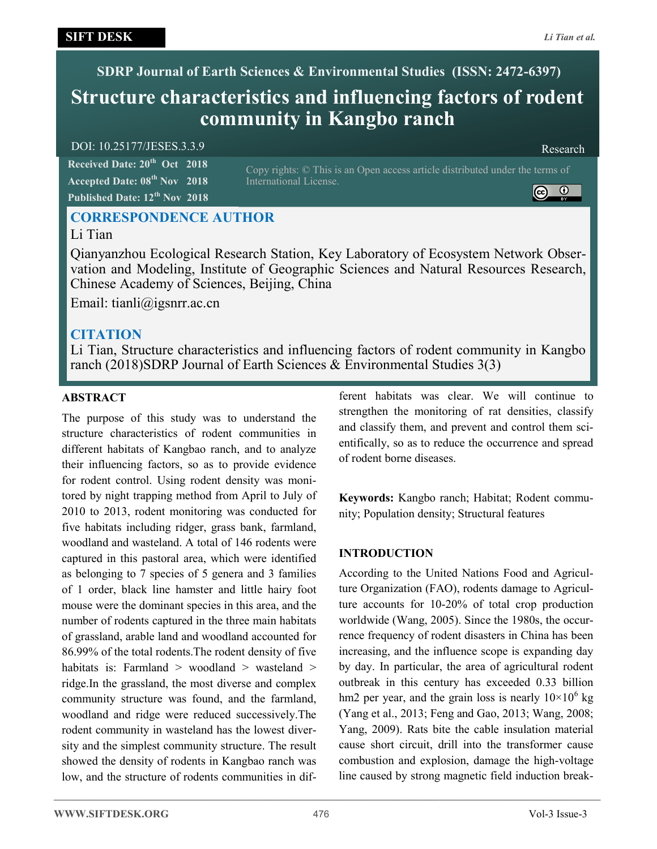**SDRP Journal of Earth Sciences & Environmental Studies (ISSN: 2472-6397)**

# **Structure characteristics and influencing factors of rodent community in Kangbo ranch**

# DOI: 10.25177/JESES.3.3.9 Research

**Received Date: 20th Oct 2018 Accepted Date: 08th Nov 2018 Published Date: 12th Nov 2018**

Copy rights: © This is an Open access article distributed under the terms of International License.



# **CORRESPONDENCE AUTHOR**

# Li Tian

Qianyanzhou Ecological Research Station, Key Laboratory of Ecosystem Network Observation and Modeling, Institute of Geographic Sciences and Natural Resources Research, Chinese Academy of Sciences, Beijing, China

Email: tianli@igsnrr.ac.cn

# **CITATION**

Li Tian, Structure characteristics and influencing factors of rodent community in Kangbo ranch (2018)SDRP Journal of Earth Sciences & Environmental Studies 3(3)

# **ABSTRACT**

The purpose of this study was to understand the structure characteristics of rodent communities in different habitats of Kangbao ranch, and to analyze their influencing factors, so as to provide evidence for rodent control. Using rodent density was monitored by night trapping method from April to July of 2010 to 2013, rodent monitoring was conducted for five habitats including ridger, grass bank, farmland, woodland and wasteland. A total of 146 rodents were captured in this pastoral area, which were identified as belonging to 7 species of 5 genera and 3 families of 1 order, black line hamster and little hairy foot mouse were the dominant species in this area, and the number of rodents captured in the three main habitats of grassland, arable land and woodland accounted for 86.99% of the total rodents.The rodent density of five habitats is: Farmland  $>$  woodland  $>$  wasteland  $>$ ridge.In the grassland, the most diverse and complex community structure was found, and the farmland, woodland and ridge were reduced successively.The rodent community in wasteland has the lowest diversity and the simplest community structure. The result showed the density of rodents in Kangbao ranch was low, and the structure of rodents communities in different habitats was clear. We will continue to strengthen the monitoring of rat densities, classify and classify them, and prevent and control them scientifically, so as to reduce the occurrence and spread of rodent borne diseases.

**Keywords:** Kangbo ranch; Habitat; Rodent community; Population density; Structural features

# **INTRODUCTION**

According to the United Nations Food and Agriculture Organization (FAO), rodents damage to Agriculture accounts for 10-20% of total crop production worldwide (Wang, 2005). Since the 1980s, the occurrence frequency of rodent disasters in China has been increasing, and the influence scope is expanding day by day. In particular, the area of agricultural rodent outbreak in this century has exceeded 0.33 billion hm2 per year, and the grain loss is nearly  $10 \times 10^6$  kg (Yang et al., 2013; Feng and Gao, 2013; Wang, 2008; Yang, 2009). Rats bite the cable insulation material cause short circuit, drill into the transformer cause combustion and explosion, damage the high-voltage line caused by strong magnetic field induction break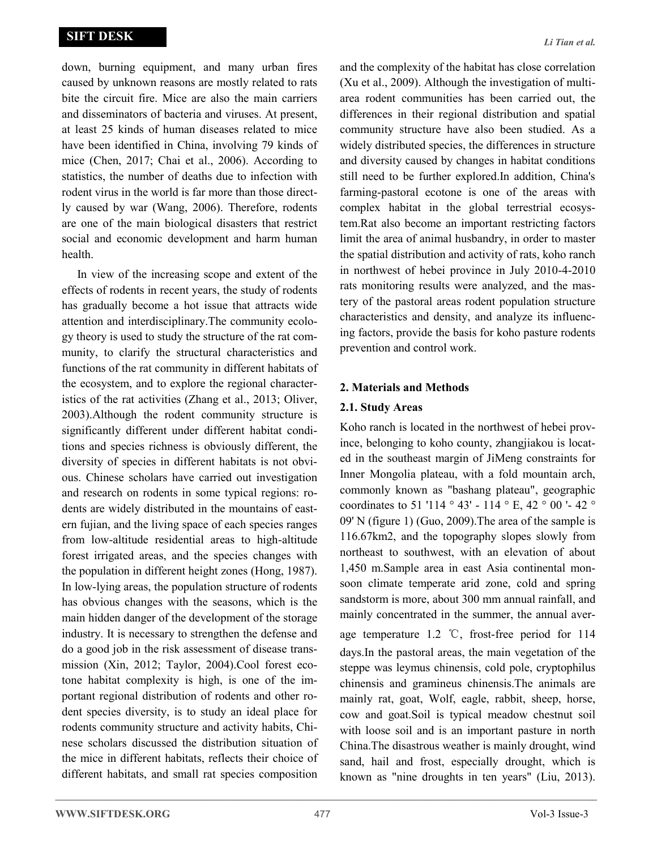down, burning equipment, and many urban fires caused by unknown reasons are mostly related to rats bite the circuit fire. Mice are also the main carriers and disseminators of bacteria and viruses. At present, at least 25 kinds of human diseases related to mice have been identified in China, involving 79 kinds of mice (Chen, 2017; Chai et al., 2006). According to statistics, the number of deaths due to infection with rodent virus in the world is far more than those directly caused by war (Wang, 2006). Therefore, rodents are one of the main biological disasters that restrict social and economic development and harm human health.

In view of the increasing scope and extent of the effects of rodents in recent years, the study of rodents has gradually become a hot issue that attracts wide attention and interdisciplinary.The community ecology theory is used to study the structure of the rat community, to clarify the structural characteristics and functions of the rat community in different habitats of the ecosystem, and to explore the regional characteristics of the rat activities (Zhang et al., 2013; Oliver, 2003).Although the rodent community structure is significantly different under different habitat conditions and species richness is obviously different, the diversity of species in different habitats is not obvious. Chinese scholars have carried out investigation and research on rodents in some typical regions: rodents are widely distributed in the mountains of eastern fujian, and the living space of each species ranges from low-altitude residential areas to high-altitude forest irrigated areas, and the species changes with the population in different height zones (Hong, 1987). In low-lying areas, the population structure of rodents has obvious changes with the seasons, which is the main hidden danger of the development of the storage industry. It is necessary to strengthen the defense and do a good job in the risk assessment of disease transmission (Xin, 2012; Taylor, 2004).Cool forest ecotone habitat complexity is high, is one of the important regional distribution of rodents and other rodent species diversity, is to study an ideal place for rodents community structure and activity habits, Chinese scholars discussed the distribution situation of the mice in different habitats, reflects their choice of different habitats, and small rat species composition and the complexity of the habitat has close correlation (Xu et al., 2009). Although the investigation of multiarea rodent communities has been carried out, the differences in their regional distribution and spatial community structure have also been studied. As a widely distributed species, the differences in structure and diversity caused by changes in habitat conditions still need to be further explored.In addition, China's farming-pastoral ecotone is one of the areas with complex habitat in the global terrestrial ecosystem.Rat also become an important restricting factors limit the area of animal husbandry, in order to master the spatial distribution and activity of rats, koho ranch in northwest of hebei province in July 2010-4-2010 rats monitoring results were analyzed, and the mastery of the pastoral areas rodent population structure characteristics and density, and analyze its influencing factors, provide the basis for koho pasture rodents prevention and control work.

#### **2. Materials and Methods**

# **2.1. Study Areas**

Koho ranch is located in the northwest of hebei province, belonging to koho county, zhangjiakou is located in the southeast margin of JiMeng constraints for Inner Mongolia plateau, with a fold mountain arch, commonly known as "bashang plateau", geographic coordinates to 51 '114 ° 43' - 114 ° E, 42 ° 00 '- 42 ° 09' N (figure 1) (Guo, 2009).The area of the sample is 116.67km2, and the topography slopes slowly from northeast to southwest, with an elevation of about 1,450 m.Sample area in east Asia continental monsoon climate temperate arid zone, cold and spring sandstorm is more, about 300 mm annual rainfall, and mainly concentrated in the summer, the annual average temperature 1.2 ℃, frost-free period for 114 days.In the pastoral areas, the main vegetation of the steppe was leymus chinensis, cold pole, cryptophilus chinensis and gramineus chinensis.The animals are mainly rat, goat, Wolf, eagle, rabbit, sheep, horse, cow and goat.Soil is typical meadow chestnut soil with loose soil and is an important pasture in north China.The disastrous weather is mainly drought, wind sand, hail and frost, especially drought, which is known as "nine droughts in ten years" (Liu, 2013).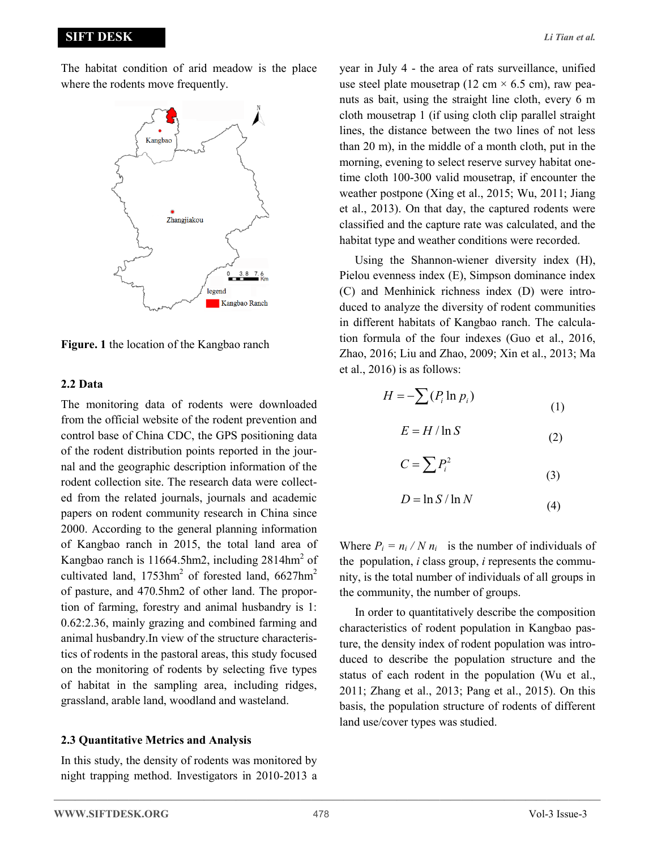### **SIFT DESK**



**Figure. 1** the location of the Kangbao ranch

#### **2.2 Data**

The monitoring data of rodents were downloaded from the official website of the rodent prevention and control base of China CDC, the GPS positioning data of the rodent distribution points reported in the journal and the geographic description information of the rodent collection site. The research data were collected from the related journals, journals and academic papers on rodent community research in China since 2000. According to the general planning information of Kangbao ranch in 2015, the total land area of Kangbao ranch is  $11664.5$ hm2, including  $2814$ hm<sup>2</sup> of cultivated land,  $1753$ hm<sup>2</sup> of forested land,  $6627$ hm<sup>2</sup> of pasture, and 470.5hm2 of other land. The proportion of farming, forestry and animal husbandry is 1: 0.62:2.36, mainly grazing and combined farming and animal husbandry.In view of the structure characteristics of rodents in the pastoral areas, this study focused on the monitoring of rodents by selecting five types of habitat in the sampling area, including ridges, grassland, arable land, woodland and wasteland.

#### **2.3 Quantitative Metrics and Analysis**

In this study, the density of rodents was monitored by night trapping method. Investigators in 2010-2013 a year in July 4 - the area of rats surveillance, unified use steel plate mousetrap (12 cm  $\times$  6.5 cm), raw peanuts as bait, using the straight line cloth, every 6 m cloth mousetrap 1 (if using cloth clip parallel straight lines, the distance between the two lines of not less than 20 m), in the middle of a month cloth, put in the morning, evening to select reserve survey habitat onetime cloth 100-300 valid mousetrap, if encounter the weather postpone (Xing et al., 2015; Wu, 2011; Jiang et al., 2013). On that day, the captured rodents were classified and the capture rate was calculated, and the habitat type and weather conditions were recorded.

Using the Shannon-wiener diversity index (H), Pielou evenness index (E), Simpson dominance index (C) and Menhinick richness index (D) were introduced to analyze the diversity of rodent communities in different habitats of Kangbao ranch. The calculation formula of the four indexes (Guo et al., 2016, Zhao, 2016; Liu and Zhao, 2009; Xin et al., 2013; Ma et al., 2016) is as follows:

$$
H = -\sum (P_i \ln p_i)
$$
 (1)

$$
E = H / \ln S \tag{2}
$$

$$
C = \sum P_i^2 \tag{3}
$$

$$
D = \ln S / \ln N \tag{4}
$$

Where  $P_i = n_i / N n_i$  is the number of individuals of the population, *i* class group, *i* represents the community, is the total number of individuals of all groups in the community, the number of groups.

In order to quantitatively describe the composition characteristics of rodent population in Kangbao pasture, the density index of rodent population was introduced to describe the population structure and the status of each rodent in the population (Wu et al., 2011; Zhang et al., 2013; Pang et al., 2015). On this basis, the population structure of rodents of different land use/cover types was studied.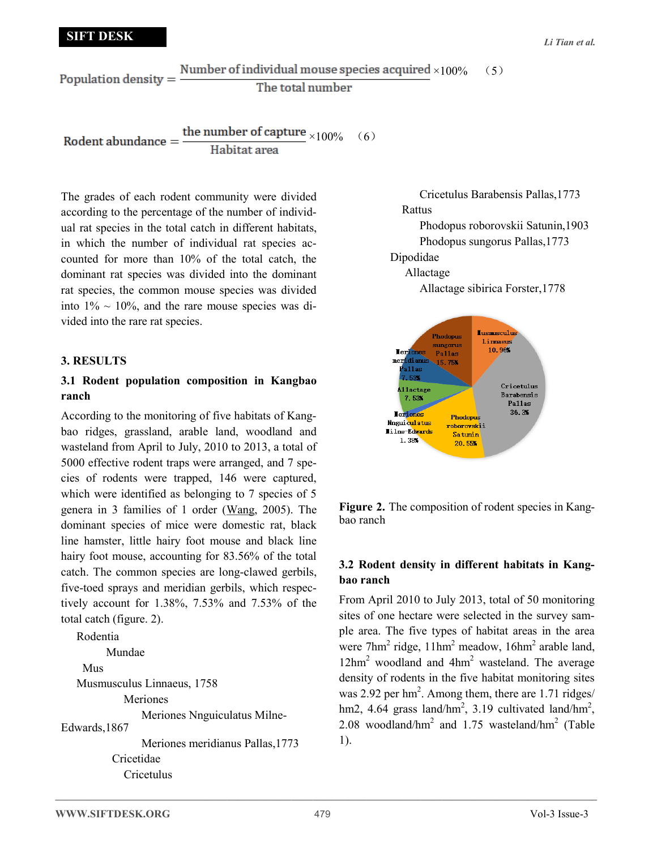Number of individual mouse species acquired  $\times 100\%$  (5) Population density  $=$ The total number

the number of capture  $\times 100\%$  (6) Rodent abundance = Habitat area

The grades of each rodent community were divided according to the percentage of the number of individual rat species in the total catch in different habitats, in which the number of individual rat species accounted for more than 10% of the total catch, the dominant rat species was divided into the dominant rat species, the common mouse species was divided into  $1\% \sim 10\%$ , and the rare mouse species was divided into the rare rat species.

#### **3. RESULTS**

# **3.1 Rodent population composition in Kangbao ranch**

According to the monitoring of five habitats of Kangbao ridges, grassland, arable land, woodland and wasteland from April to July, 2010 to 2013, a total of 5000 effective rodent traps were arranged, and 7 species of rodents were trapped, 146 were captured, which were identified as belonging to 7 species of 5 genera in 3 families of 1 order (Wang, 2005). The dominant species of mice were domestic rat, black line hamster, little hairy foot mouse and black line hairy foot mouse, accounting for 83.56% of the total catch. The common species are long-clawed gerbils, five-toed sprays and meridian gerbils, which respectively account for 1.38%, 7.53% and 7.53% of the total catch (figure. 2).

```
Rodentia
         Mundae
     Mus 
   Musmusculus Linnaeus, 1758
             Meriones
                 Meriones Nnguiculatus Milne-
Edwards,1867
                 Meriones meridianus Pallas,1773
           Cricetidae
             Cricetulus
```
 Cricetulus Barabensis Pallas,1773 Rattus

 Phodopus roborovskii Satunin,1903 Phodopus sungorus Pallas,1773

# Dipodidae

Allactage

Allactage sibirica Forster,1778



**Figure 2.** The composition of rodent species in Kangbao ranch

# **3.2 Rodent density in different habitats in Kangbao ranch**

From April 2010 to July 2013, total of 50 monitoring sites of one hectare were selected in the survey sample area. The five types of habitat areas in the area were  $7 \text{hm}^2$  ridge,  $11 \text{hm}^2$  meadow,  $16 \text{hm}^2$  arable land,  $12\text{hm}^2$  woodland and  $4\text{hm}^2$  wasteland. The average density of rodents in the five habitat monitoring sites was 2.92 per  $\text{hm}^2$ . Among them, there are 1.71 ridges/ hm2, 4.64 grass land/hm<sup>2</sup>, 3.19 cultivated land/hm<sup>2</sup>, 2.08 woodland/hm<sup>2</sup> and 1.75 wasteland/hm<sup>2</sup> (Table 1).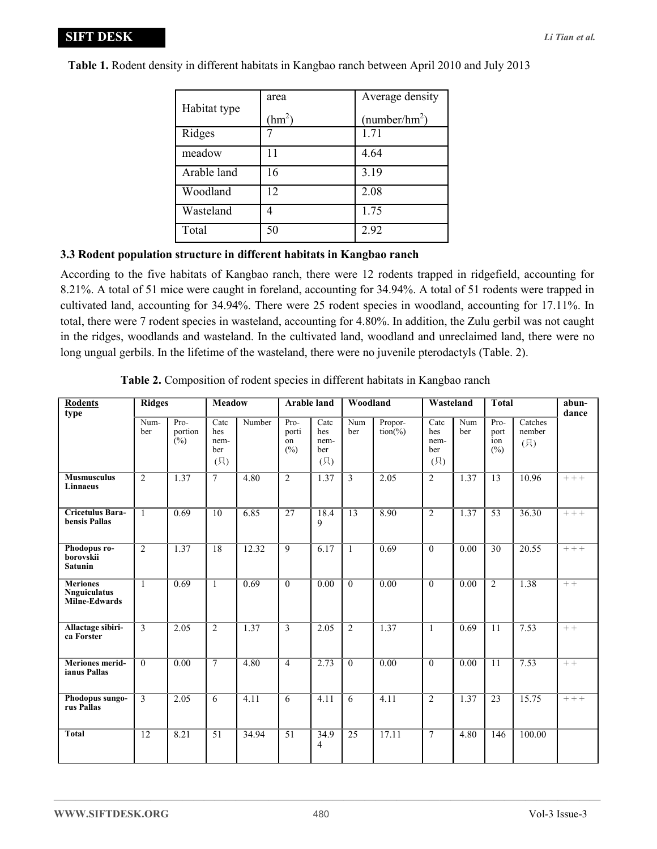|              | area     | Average density           |  |  |  |
|--------------|----------|---------------------------|--|--|--|
| Habitat type | $(hm^2)$ | (number/hm <sup>2</sup> ) |  |  |  |
| Ridges       |          | 1.71                      |  |  |  |
| meadow       | 11       | 4.64                      |  |  |  |
| Arable land  | 16       | 3.19                      |  |  |  |
| Woodland     | 12       | 2.08                      |  |  |  |
| Wasteland    |          | 1.75                      |  |  |  |
| Total        | 50       | 2.92                      |  |  |  |

**Table 1.** Rodent density in different habitats in Kangbao ranch between April 2010 and July 2013

# **3.3 Rodent population structure in different habitats in Kangbao ranch**

According to the five habitats of Kangbao ranch, there were 12 rodents trapped in ridgefield, accounting for 8.21%. A total of 51 mice were caught in foreland, accounting for 34.94%. A total of 51 rodents were trapped in cultivated land, accounting for 34.94%. There were 25 rodent species in woodland, accounting for 17.11%. In total, there were 7 rodent species in wasteland, accounting for 4.80%. In addition, the Zulu gerbil was not caught in the ridges, woodlands and wasteland. In the cultivated land, woodland and unreclaimed land, there were no long ungual gerbils. In the lifetime of the wasteland, there were no juvenile pterodactyls (Table. 2).

| <b>Rodents</b><br>type                                  | <b>Ridges</b>  |                          | Meadow                            |        | <b>Arable land</b>         |                                                       | Woodland        |                               | Wasteland                         |            | <b>Total</b>               |                          | abun-<br>dance |
|---------------------------------------------------------|----------------|--------------------------|-----------------------------------|--------|----------------------------|-------------------------------------------------------|-----------------|-------------------------------|-----------------------------------|------------|----------------------------|--------------------------|----------------|
|                                                         | Num-<br>ber    | $Pro-$<br>portion<br>(%) | Catc<br>hes<br>nem-<br>ber<br>(只) | Number | Pro-<br>porti<br>on<br>(%) | $\overline{\text{Cate}}$<br>hes<br>nem-<br>ber<br>(只) | Num<br>ber      | Propor-<br>$\text{tion}(\% )$ | Catc<br>hes<br>nem-<br>ber<br>(只) | Num<br>ber | Pro-<br>port<br>ion<br>(%) | Catches<br>nember<br>(只) |                |
| <b>Musmusculus</b><br><b>Linnaeus</b>                   | $\overline{2}$ | 1.37                     | $\overline{7}$                    | 4.80   | $\overline{c}$             | 1.37                                                  | 3               | 2.05                          | 2                                 | 1.37       | 13                         | 10.96                    | $+++$          |
| <b>Cricetulus Bara-</b><br>bensis Pallas                | $\mathbf{1}$   | 0.69                     | $\overline{10}$                   | 6.85   | $\overline{27}$            | 18.4<br>9                                             | $\overline{13}$ | 8.90                          | $\overline{2}$                    | 1.37       | 53                         | 36.30                    | $+++$          |
| Phodopus ro-<br>borovskii<br><b>Satunin</b>             | $\overline{2}$ | 1.37                     | $\overline{18}$                   | 12.32  | $\overline{9}$             | 6.17                                                  | $\mathbf{1}$    | 0.69                          | $\mathbf{0}$                      | 0.00       | 30                         | 20.55                    | $+++$          |
| <b>Meriones</b><br><b>Nnguiculatus</b><br>Milne-Edwards | $\overline{1}$ | 0.69                     | $\overline{1}$                    | 0.69   | $\overline{0}$             | 0.00                                                  | $\overline{0}$  | 0.00                          | $\overline{0}$                    | 0.00       | $\overline{2}$             | 1.38                     | $+ +$          |
| Allactage sibiri-<br>ca Forster                         | $\overline{3}$ | 2.05                     | $\overline{2}$                    | 1.37   | 3                          | 2.05                                                  | $\overline{2}$  | 1.37                          | $\mathbf{1}$                      | 0.69       | 11                         | 7.53                     | $++$           |
| <b>Meriones merid-</b><br>ianus Pallas                  | $\theta$       | 0.00                     | $\overline{7}$                    | 4.80   | $\overline{4}$             | 2.73                                                  | $\mathbf{0}$    | 0.00                          | $\mathbf{0}$                      | 0.00       | 11                         | 7.53                     | $+ +$          |
| Phodopus sungo-<br>rus Pallas                           | $\overline{3}$ | 2.05                     | 6                                 | 4.11   | 6                          | 4.11                                                  | 6               | 4.11                          | $\overline{2}$                    | 1.37       | 23                         | 15.75                    | $+++$          |
| <b>Total</b>                                            | 12             | 8.21                     | 51                                | 34.94  | $\overline{51}$            | 34.9<br>4                                             | 25              | 17.11                         | 7                                 | 4.80       | 146                        | 100.00                   |                |

**Table 2.** Composition of rodent species in different habitats in Kangbao ranch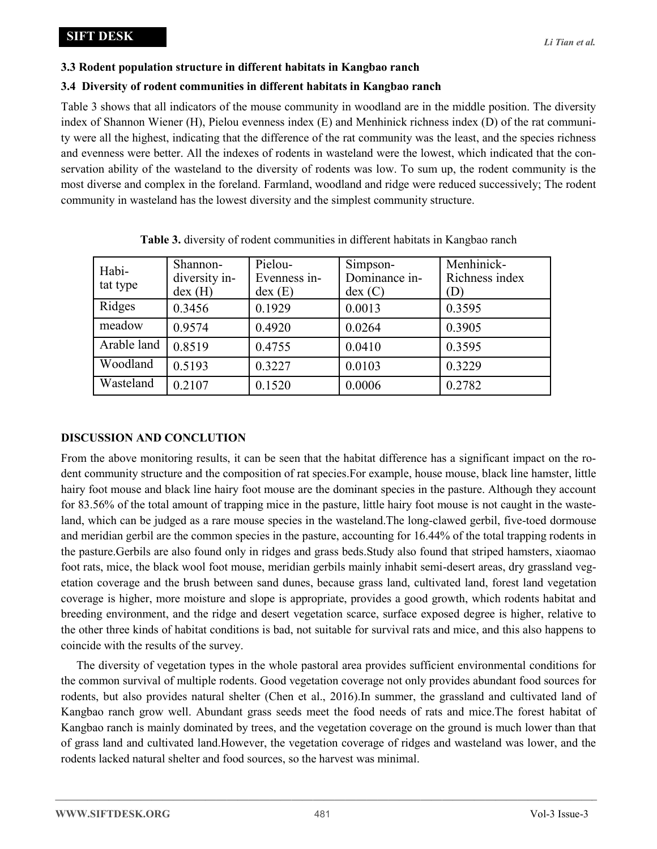# **3.3 Rodent population structure in different habitats in Kangbao ranch**

# **3.4 Diversity of rodent communities in different habitats in Kangbao ranch**

Table 3 shows that all indicators of the mouse community in woodland are in the middle position. The diversity index of Shannon Wiener (H), Pielou evenness index (E) and Menhinick richness index (D) of the rat community were all the highest, indicating that the difference of the rat community was the least, and the species richness and evenness were better. All the indexes of rodents in wasteland were the lowest, which indicated that the conservation ability of the wasteland to the diversity of rodents was low. To sum up, the rodent community is the most diverse and complex in the foreland. Farmland, woodland and ridge were reduced successively; The rodent community in wasteland has the lowest diversity and the simplest community structure.

| Habi-<br>tat type | Shannon-<br>diversity in-<br>$dex$ (H) | Pielou-<br>Evenness in-<br>$dex$ (E) | Simpson-<br>Dominance in-<br>$dex$ (C) | Menhinick-<br>Richness index<br>(D) |
|-------------------|----------------------------------------|--------------------------------------|----------------------------------------|-------------------------------------|
| Ridges            | 0.3456                                 | 0.1929                               | 0.0013                                 | 0.3595                              |
| meadow            | 0.9574                                 | 0.4920                               | 0.0264                                 | 0.3905                              |
| Arable land       | 0.8519                                 | 0.4755                               | 0.0410                                 | 0.3595                              |
| Woodland          | 0.5193                                 | 0.3227                               | 0.0103                                 | 0.3229                              |
| Wasteland         | 0.2107                                 | 0.1520                               | 0.0006                                 | 0.2782                              |

**Table 3.** diversity of rodent communities in different habitats in Kangbao ranch

# **DISCUSSION AND CONCLUTION**

From the above monitoring results, it can be seen that the habitat difference has a significant impact on the rodent community structure and the composition of rat species.For example, house mouse, black line hamster, little hairy foot mouse and black line hairy foot mouse are the dominant species in the pasture. Although they account for 83.56% of the total amount of trapping mice in the pasture, little hairy foot mouse is not caught in the wasteland, which can be judged as a rare mouse species in the wasteland.The long-clawed gerbil, five-toed dormouse and meridian gerbil are the common species in the pasture, accounting for 16.44% of the total trapping rodents in the pasture.Gerbils are also found only in ridges and grass beds.Study also found that striped hamsters, xiaomao foot rats, mice, the black wool foot mouse, meridian gerbils mainly inhabit semi-desert areas, dry grassland vegetation coverage and the brush between sand dunes, because grass land, cultivated land, forest land vegetation coverage is higher, more moisture and slope is appropriate, provides a good growth, which rodents habitat and breeding environment, and the ridge and desert vegetation scarce, surface exposed degree is higher, relative to the other three kinds of habitat conditions is bad, not suitable for survival rats and mice, and this also happens to coincide with the results of the survey.

The diversity of vegetation types in the whole pastoral area provides sufficient environmental conditions for the common survival of multiple rodents. Good vegetation coverage not only provides abundant food sources for rodents, but also provides natural shelter (Chen et al., 2016).In summer, the grassland and cultivated land of Kangbao ranch grow well. Abundant grass seeds meet the food needs of rats and mice.The forest habitat of Kangbao ranch is mainly dominated by trees, and the vegetation coverage on the ground is much lower than that of grass land and cultivated land.However, the vegetation coverage of ridges and wasteland was lower, and the rodents lacked natural shelter and food sources, so the harvest was minimal.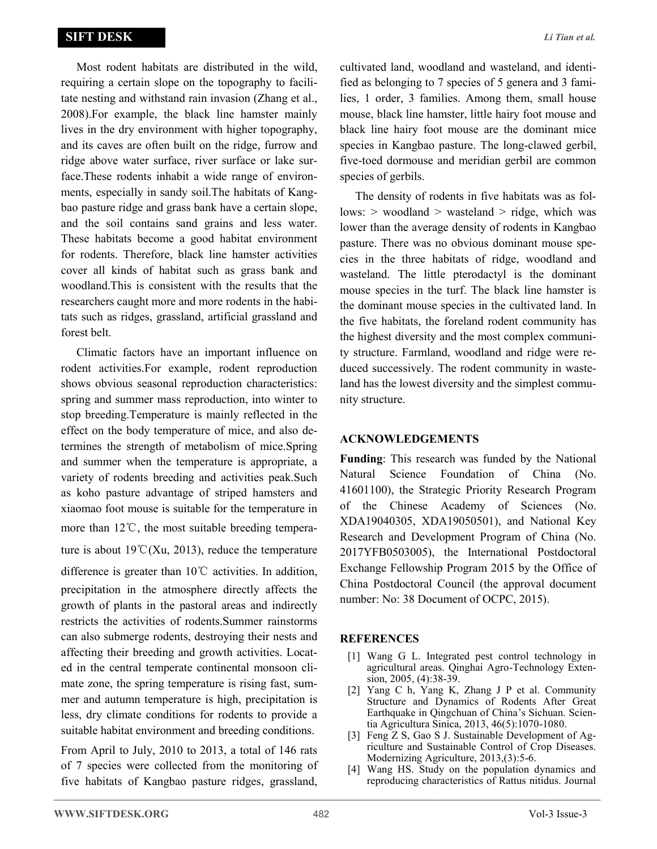Most rodent habitats are distributed in the wild, requiring a certain slope on the topography to facilitate nesting and withstand rain invasion (Zhang et al., 2008).For example, the black line hamster mainly lives in the dry environment with higher topography, and its caves are often built on the ridge, furrow and ridge above water surface, river surface or lake surface.These rodents inhabit a wide range of environments, especially in sandy soil.The habitats of Kangbao pasture ridge and grass bank have a certain slope, and the soil contains sand grains and less water. These habitats become a good habitat environment for rodents. Therefore, black line hamster activities cover all kinds of habitat such as grass bank and woodland.This is consistent with the results that the researchers caught more and more rodents in the habitats such as ridges, grassland, artificial grassland and forest belt.

Climatic factors have an important influence on rodent activities.For example, rodent reproduction shows obvious seasonal reproduction characteristics: spring and summer mass reproduction, into winter to stop breeding.Temperature is mainly reflected in the effect on the body temperature of mice, and also determines the strength of metabolism of mice.Spring and summer when the temperature is appropriate, a variety of rodents breeding and activities peak.Such as koho pasture advantage of striped hamsters and xiaomao foot mouse is suitable for the temperature in more than 12℃, the most suitable breeding temperature is about  $19^{\circ}C(Xu, 2013)$ , reduce the temperature difference is greater than 10℃ activities. In addition, precipitation in the atmosphere directly affects the growth of plants in the pastoral areas and indirectly restricts the activities of rodents.Summer rainstorms can also submerge rodents, destroying their nests and affecting their breeding and growth activities. Located in the central temperate continental monsoon climate zone, the spring temperature is rising fast, summer and autumn temperature is high, precipitation is less, dry climate conditions for rodents to provide a suitable habitat environment and breeding conditions.

From April to July, 2010 to 2013, a total of 146 rats of 7 species were collected from the monitoring of five habitats of Kangbao pasture ridges, grassland, cultivated land, woodland and wasteland, and identified as belonging to 7 species of 5 genera and 3 families, 1 order, 3 families. Among them, small house mouse, black line hamster, little hairy foot mouse and black line hairy foot mouse are the dominant mice species in Kangbao pasture. The long-clawed gerbil, five-toed dormouse and meridian gerbil are common species of gerbils.

The density of rodents in five habitats was as follows: > woodland > wasteland > ridge, which was lower than the average density of rodents in Kangbao pasture. There was no obvious dominant mouse species in the three habitats of ridge, woodland and wasteland. The little pterodactyl is the dominant mouse species in the turf. The black line hamster is the dominant mouse species in the cultivated land. In the five habitats, the foreland rodent community has the highest diversity and the most complex community structure. Farmland, woodland and ridge were reduced successively. The rodent community in wasteland has the lowest diversity and the simplest community structure.

#### **ACKNOWLEDGEMENTS**

**Funding**: This research was funded by the National Natural Science Foundation of China (No. 41601100), the Strategic Priority Research Program of the Chinese Academy of Sciences (No. XDA19040305, XDA19050501), and National Key Research and Development Program of China (No. 2017YFB0503005), the International Postdoctoral Exchange Fellowship Program 2015 by the Office of China Postdoctoral Council (the approval document number: No: 38 Document of OCPC, 2015).

#### **REFERENCES**

- [1] Wang G L. Integrated pest control technology in agricultural areas. Qinghai Agro-Technology Extension, 2005, (4):38-39.
- [2] Yang C h, Yang K, Zhang J P et al. Community Structure and Dynamics of Rodents After Great Earthquake in Qingchuan of China's Sichuan. Scientia Agricultura Sinica, 2013, 46(5):1070-1080.
- [3] Feng Z S, Gao S J. Sustainable Development of Agriculture and Sustainable Control of Crop Diseases. Modernizing Agriculture, 2013,(3):5-6.
- [4] Wang HS. Study on the population dynamics and reproducing characteristics of Rattus nitidus. Journal